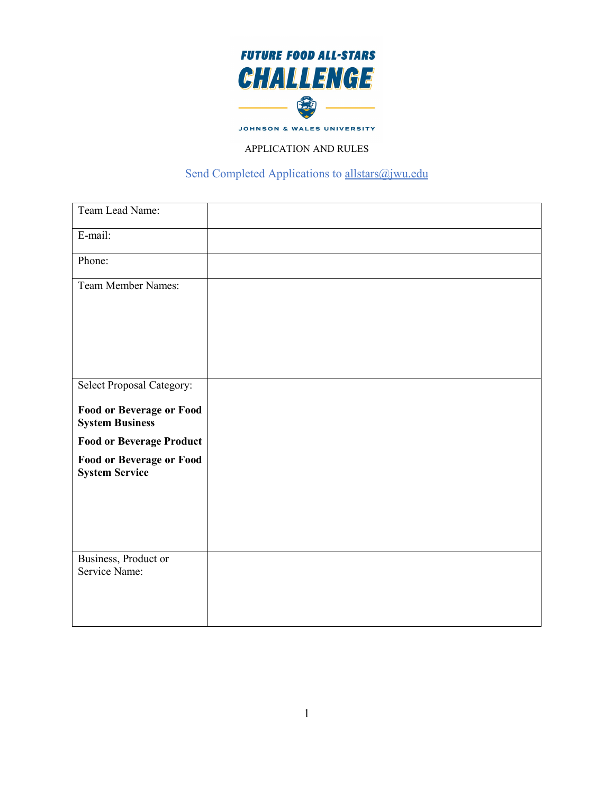

JOHNSON & WALES UNIVERSITY

## APPLICATION AND RULES

## Send Completed Applications to [allstars@jwu.edu](mailto:allstars@jwu.edu)

| Team Lead Name:                                           |  |
|-----------------------------------------------------------|--|
| E-mail:                                                   |  |
| Phone:                                                    |  |
| <b>Team Member Names:</b>                                 |  |
|                                                           |  |
|                                                           |  |
|                                                           |  |
| Select Proposal Category:                                 |  |
| <b>Food or Beverage or Food</b><br><b>System Business</b> |  |
| <b>Food or Beverage Product</b>                           |  |
| <b>Food or Beverage or Food</b><br><b>System Service</b>  |  |
|                                                           |  |
|                                                           |  |
|                                                           |  |
| Business, Product or<br>Service Name:                     |  |
|                                                           |  |
|                                                           |  |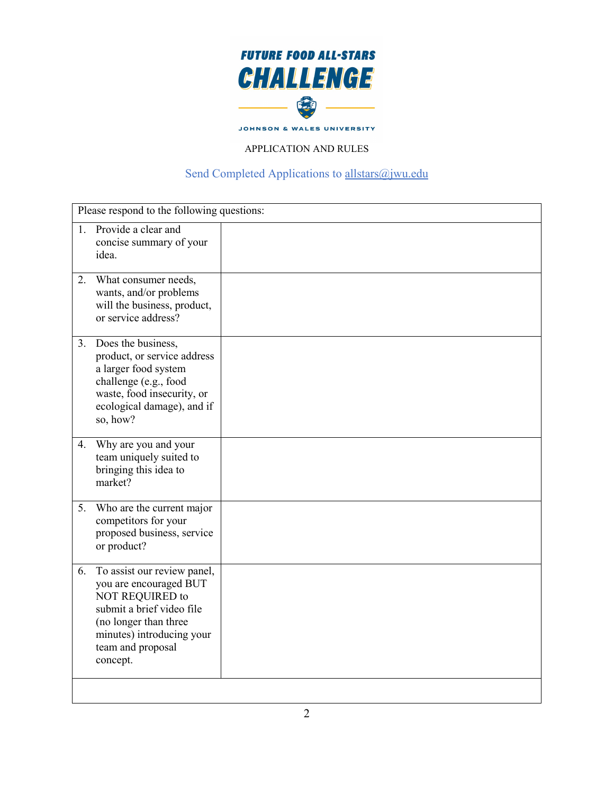

JOHNSON & WALES UNIVERSITY

## APPLICATION AND RULES

## Send Completed Applications to [allstars@jwu.edu](mailto:allstars@jwu.edu)

| Please respond to the following questions:                                                                                                                                                         |  |
|----------------------------------------------------------------------------------------------------------------------------------------------------------------------------------------------------|--|
| Provide a clear and<br>$1_{-}$<br>concise summary of your<br>idea.                                                                                                                                 |  |
| What consumer needs,<br>2.<br>wants, and/or problems<br>will the business, product,<br>or service address?                                                                                         |  |
| 3. Does the business,<br>product, or service address<br>a larger food system<br>challenge (e.g., food<br>waste, food insecurity, or<br>ecological damage), and if<br>so, how?                      |  |
| Why are you and your<br>4.<br>team uniquely suited to<br>bringing this idea to<br>market?                                                                                                          |  |
| Who are the current major<br>5.<br>competitors for your<br>proposed business, service<br>or product?                                                                                               |  |
| To assist our review panel,<br>6.<br>you are encouraged BUT<br>NOT REQUIRED to<br>submit a brief video file<br>(no longer than three<br>minutes) introducing your<br>team and proposal<br>concept. |  |
|                                                                                                                                                                                                    |  |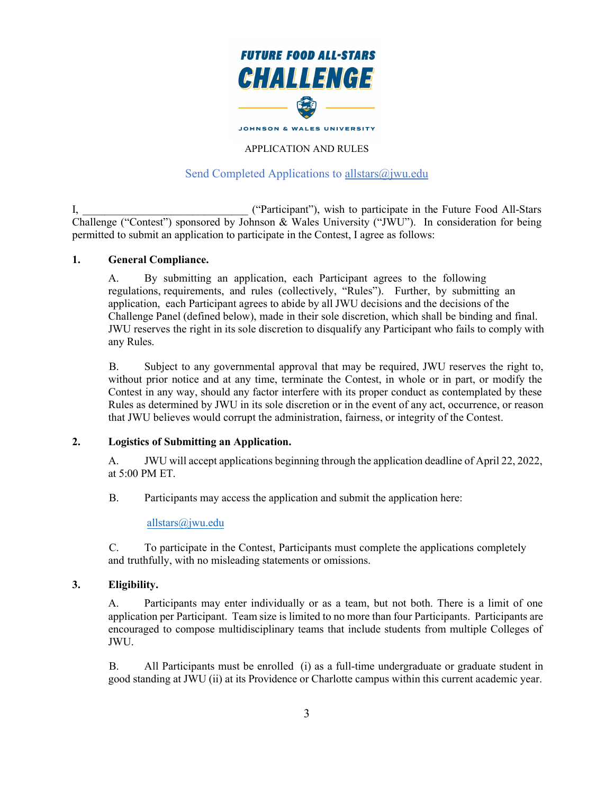

## Send Completed Applications to [allstars@jwu.edu](mailto:allstars@jwu.edu)

I, The Community ("Participant"), wish to participate in the Future Food All-Stars Challenge ("Contest") sponsored by Johnson & Wales University ("JWU"). In consideration for being permitted to submit an application to participate in the Contest, I agree as follows:

#### **1. General Compliance.**

A. By submitting an application, each Participant agrees to the following regulations, requirements, and rules (collectively, "Rules"). Further, by submitting an application, each Participant agrees to abide by all JWU decisions and the decisions of the Challenge Panel (defined below), made in their sole discretion, which shall be binding and final. JWU reserves the right in its sole discretion to disqualify any Participant who fails to comply with any Rules.

B. Subject to any governmental approval that may be required, JWU reserves the right to, without prior notice and at any time, terminate the Contest, in whole or in part, or modify the Contest in any way, should any factor interfere with its proper conduct as contemplated by these Rules as determined by JWU in its sole discretion or in the event of any act, occurrence, or reason that JWU believes would corrupt the administration, fairness, or integrity of the Contest.

#### **2. Logistics of Submitting an Application.**

A. JWU will accept applications beginning through the application deadline of April 22, 2022, at 5:00 PM ET.

B. Participants may access the application and submit the application here:

[allstars@jwu.edu](https://www.jwu.edu/future-food-allstars-challenge/index.html#:%7E:text=The%20Future%20Food%20All%2DStars,concepts%20to%20pitch%20to%20investors.)

C. To participate in the Contest, Participants must complete the applications completely and truthfully, with no misleading statements or omissions.

### **3. Eligibility.**

A. Participants may enter individually or as a team, but not both. There is a limit of one application per Participant. Team size is limited to no more than four Participants. Participants are encouraged to compose multidisciplinary teams that include students from multiple Colleges of JWU.

B. All Participants must be enrolled (i) as a full-time undergraduate or graduate student in good standing at JWU (ii) at its Providence or Charlotte campus within this current academic year.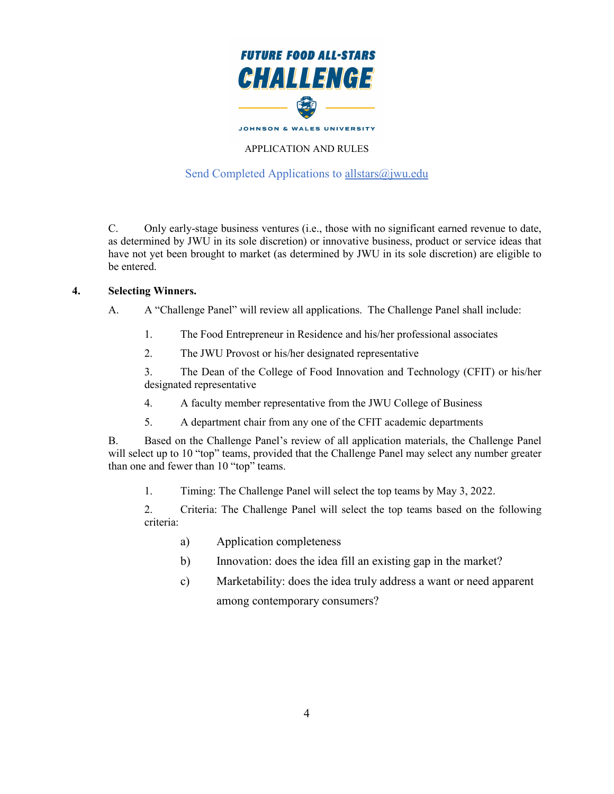

## Send Completed Applications to [allstars@jwu.edu](mailto:allstars@jwu.edu)

C. Only early-stage business ventures (i.e., those with no significant earned revenue to date, as determined by JWU in its sole discretion) or innovative business, product or service ideas that have not yet been brought to market (as determined by JWU in its sole discretion) are eligible to be entered.

#### **4. Selecting Winners.**

A. A "Challenge Panel" will review all applications. The Challenge Panel shall include:

- 1. The Food Entrepreneur in Residence and his/her professional associates
- 2. The JWU Provost or his/her designated representative

3. The Dean of the College of Food Innovation and Technology (CFIT) or his/her designated representative

- 4. A faculty member representative from the JWU College of Business
- 5. A department chair from any one of the CFIT academic departments

B. Based on the Challenge Panel's review of all application materials, the Challenge Panel will select up to 10 "top" teams, provided that the Challenge Panel may select any number greater than one and fewer than 10 "top" teams.

1. Timing: The Challenge Panel will select the top teams by May 3, 2022.

2. Criteria: The Challenge Panel will select the top teams based on the following criteria:

- a) Application completeness
- b) Innovation: does the idea fill an existing gap in the market?
- c) Marketability: does the idea truly address a want or need apparent among contemporary consumers?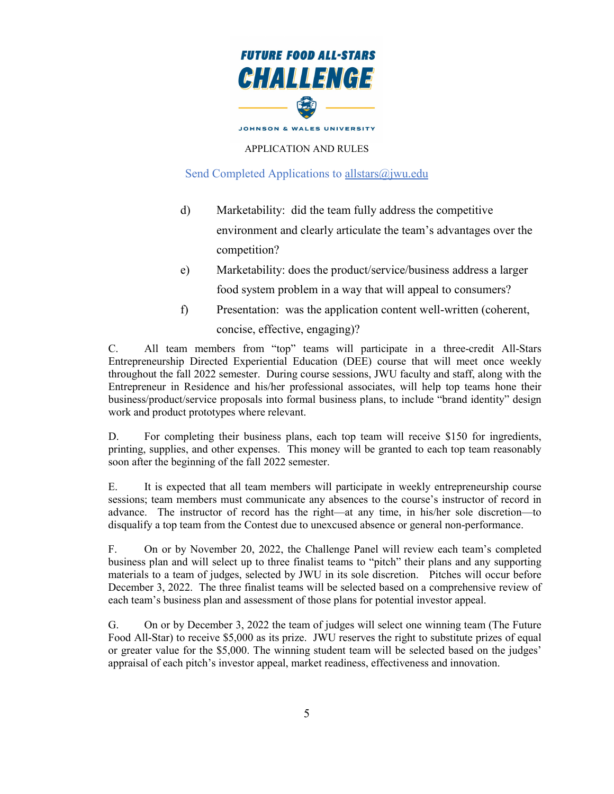

## Send Completed Applications to allstars $\omega$ jwu.edu

- d) Marketability: did the team fully address the competitive environment and clearly articulate the team's advantages over the competition?
- e) Marketability: does the product/service/business address a larger food system problem in a way that will appeal to consumers?
- f) Presentation: was the application content well-written (coherent, concise, effective, engaging)?

C. All team members from "top" teams will participate in a three-credit All-Stars Entrepreneurship Directed Experiential Education (DEE) course that will meet once weekly throughout the fall 2022 semester. During course sessions, JWU faculty and staff, along with the Entrepreneur in Residence and his/her professional associates, will help top teams hone their business/product/service proposals into formal business plans, to include "brand identity" design work and product prototypes where relevant.

D. For completing their business plans, each top team will receive \$150 for ingredients, printing, supplies, and other expenses. This money will be granted to each top team reasonably soon after the beginning of the fall 2022 semester.

E. It is expected that all team members will participate in weekly entrepreneurship course sessions; team members must communicate any absences to the course's instructor of record in advance. The instructor of record has the right—at any time, in his/her sole discretion—to disqualify a top team from the Contest due to unexcused absence or general non-performance.

F. On or by November 20, 2022, the Challenge Panel will review each team's completed business plan and will select up to three finalist teams to "pitch" their plans and any supporting materials to a team of judges, selected by JWU in its sole discretion. Pitches will occur before December 3, 2022. The three finalist teams will be selected based on a comprehensive review of each team's business plan and assessment of those plans for potential investor appeal.

G. On or by December 3, 2022 the team of judges will select one winning team (The Future Food All-Star) to receive \$5,000 as its prize. JWU reserves the right to substitute prizes of equal or greater value for the \$5,000. The winning student team will be selected based on the judges' appraisal of each pitch's investor appeal, market readiness, effectiveness and innovation.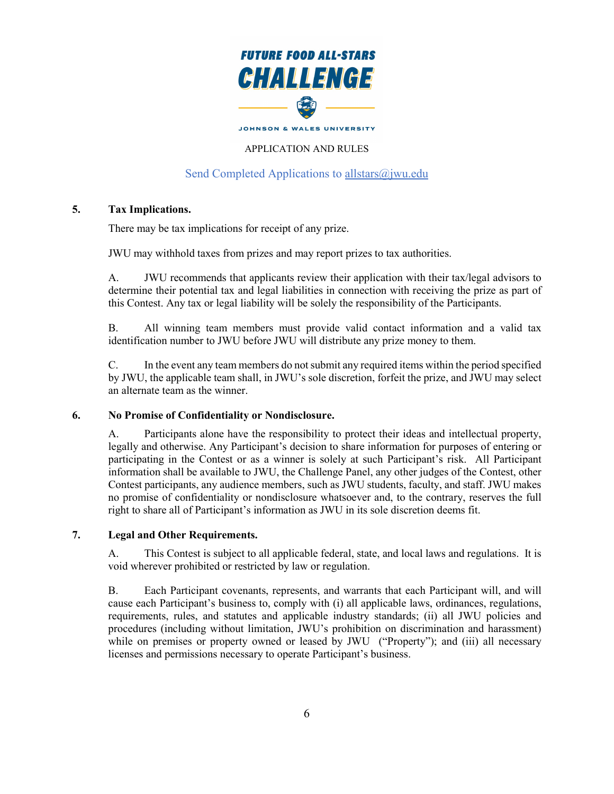

## Send Completed Applications to [allstars@jwu.edu](mailto:allstars@jwu.edu)

#### **5. Tax Implications.**

There may be tax implications for receipt of any prize.

JWU may withhold taxes from prizes and may report prizes to tax authorities.

A. JWU recommends that applicants review their application with their tax/legal advisors to determine their potential tax and legal liabilities in connection with receiving the prize as part of this Contest. Any tax or legal liability will be solely the responsibility of the Participants.

B. All winning team members must provide valid contact information and a valid tax identification number to JWU before JWU will distribute any prize money to them.

C. In the event any team members do not submit any required items within the period specified by JWU, the applicable team shall, in JWU's sole discretion, forfeit the prize, and JWU may select an alternate team as the winner.

#### **6. No Promise of Confidentiality or Nondisclosure.**

A. Participants alone have the responsibility to protect their ideas and intellectual property, legally and otherwise. Any Participant's decision to share information for purposes of entering or participating in the Contest or as a winner is solely at such Participant's risk. All Participant information shall be available to JWU, the Challenge Panel, any other judges of the Contest, other Contest participants, any audience members, such as JWU students, faculty, and staff. JWU makes no promise of confidentiality or nondisclosure whatsoever and, to the contrary, reserves the full right to share all of Participant's information as JWU in its sole discretion deems fit.

#### **7. Legal and Other Requirements.**

A. This Contest is subject to all applicable federal, state, and local laws and regulations. It is void wherever prohibited or restricted by law or regulation.

B. Each Participant covenants, represents, and warrants that each Participant will, and will cause each Participant's business to, comply with (i) all applicable laws, ordinances, regulations, requirements, rules, and statutes and applicable industry standards; (ii) all JWU policies and procedures (including without limitation, JWU's prohibition on discrimination and harassment) while on premises or property owned or leased by JWU ("Property"); and (iii) all necessary licenses and permissions necessary to operate Participant's business.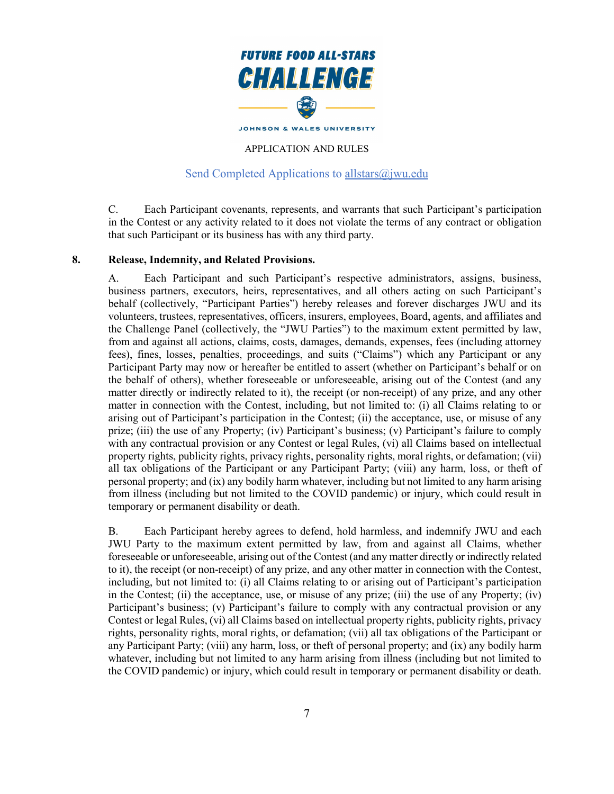

## Send Completed Applications to allstars $(\hat{\omega})$  wu.edu

C. Each Participant covenants, represents, and warrants that such Participant's participation in the Contest or any activity related to it does not violate the terms of any contract or obligation that such Participant or its business has with any third party.

#### **8. Release, Indemnity, and Related Provisions.**

A. Each Participant and such Participant's respective administrators, assigns, business, business partners, executors, heirs, representatives, and all others acting on such Participant's behalf (collectively, "Participant Parties") hereby releases and forever discharges JWU and its volunteers, trustees, representatives, officers, insurers, employees, Board, agents, and affiliates and the Challenge Panel (collectively, the "JWU Parties") to the maximum extent permitted by law, from and against all actions, claims, costs, damages, demands, expenses, fees (including attorney fees), fines, losses, penalties, proceedings, and suits ("Claims") which any Participant or any Participant Party may now or hereafter be entitled to assert (whether on Participant's behalf or on the behalf of others), whether foreseeable or unforeseeable, arising out of the Contest (and any matter directly or indirectly related to it), the receipt (or non-receipt) of any prize, and any other matter in connection with the Contest, including, but not limited to: (i) all Claims relating to or arising out of Participant's participation in the Contest; (ii) the acceptance, use, or misuse of any prize; (iii) the use of any Property; (iv) Participant's business; (v) Participant's failure to comply with any contractual provision or any Contest or legal Rules, (vi) all Claims based on intellectual property rights, publicity rights, privacy rights, personality rights, moral rights, or defamation; (vii) all tax obligations of the Participant or any Participant Party; (viii) any harm, loss, or theft of personal property; and (ix) any bodily harm whatever, including but not limited to any harm arising from illness (including but not limited to the COVID pandemic) or injury, which could result in temporary or permanent disability or death.

B. Each Participant hereby agrees to defend, hold harmless, and indemnify JWU and each JWU Party to the maximum extent permitted by law, from and against all Claims, whether foreseeable or unforeseeable, arising out of the Contest (and any matter directly or indirectly related to it), the receipt (or non-receipt) of any prize, and any other matter in connection with the Contest, including, but not limited to: (i) all Claims relating to or arising out of Participant's participation in the Contest; (ii) the acceptance, use, or misuse of any prize; (iii) the use of any Property; (iv) Participant's business; (v) Participant's failure to comply with any contractual provision or any Contest or legal Rules, (vi) all Claims based on intellectual property rights, publicity rights, privacy rights, personality rights, moral rights, or defamation; (vii) all tax obligations of the Participant or any Participant Party; (viii) any harm, loss, or theft of personal property; and (ix) any bodily harm whatever, including but not limited to any harm arising from illness (including but not limited to the COVID pandemic) or injury, which could result in temporary or permanent disability or death.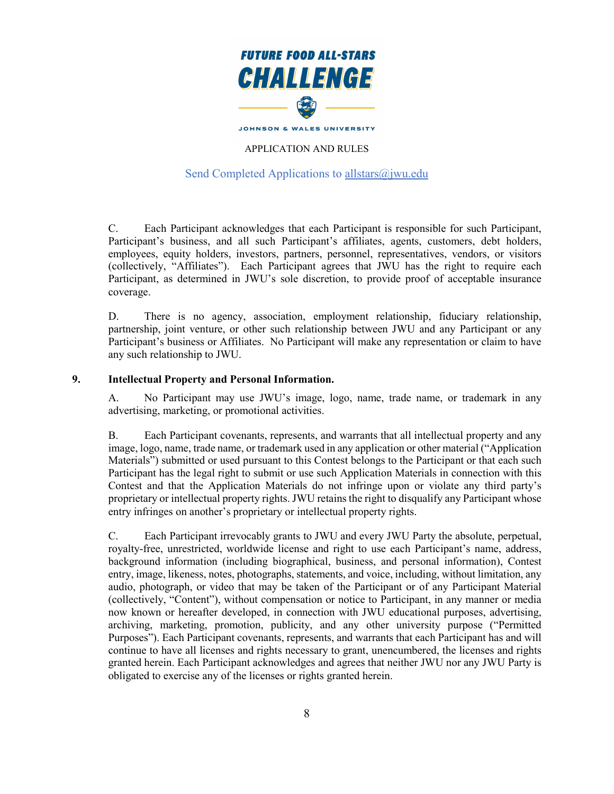

## Send Completed Applications to [allstars@jwu.edu](mailto:allstars@jwu.edu)

C. Each Participant acknowledges that each Participant is responsible for such Participant, Participant's business, and all such Participant's affiliates, agents, customers, debt holders, employees, equity holders, investors, partners, personnel, representatives, vendors, or visitors (collectively, "Affiliates"). Each Participant agrees that JWU has the right to require each Participant, as determined in JWU's sole discretion, to provide proof of acceptable insurance coverage.

D. There is no agency, association, employment relationship, fiduciary relationship, partnership, joint venture, or other such relationship between JWU and any Participant or any Participant's business or Affiliates. No Participant will make any representation or claim to have any such relationship to JWU.

#### **9. Intellectual Property and Personal Information.**

A. No Participant may use JWU's image, logo, name, trade name, or trademark in any advertising, marketing, or promotional activities.

B. Each Participant covenants, represents, and warrants that all intellectual property and any image, logo, name, trade name, or trademark used in any application or other material ("Application Materials") submitted or used pursuant to this Contest belongs to the Participant or that each such Participant has the legal right to submit or use such Application Materials in connection with this Contest and that the Application Materials do not infringe upon or violate any third party's proprietary or intellectual property rights. JWU retains the right to disqualify any Participant whose entry infringes on another's proprietary or intellectual property rights.

C. Each Participant irrevocably grants to JWU and every JWU Party the absolute, perpetual, royalty-free, unrestricted, worldwide license and right to use each Participant's name, address, background information (including biographical, business, and personal information), Contest entry, image, likeness, notes, photographs, statements, and voice, including, without limitation, any audio, photograph, or video that may be taken of the Participant or of any Participant Material (collectively, "Content"), without compensation or notice to Participant, in any manner or media now known or hereafter developed, in connection with JWU educational purposes, advertising, archiving, marketing, promotion, publicity, and any other university purpose ("Permitted Purposes"). Each Participant covenants, represents, and warrants that each Participant has and will continue to have all licenses and rights necessary to grant, unencumbered, the licenses and rights granted herein. Each Participant acknowledges and agrees that neither JWU nor any JWU Party is obligated to exercise any of the licenses or rights granted herein.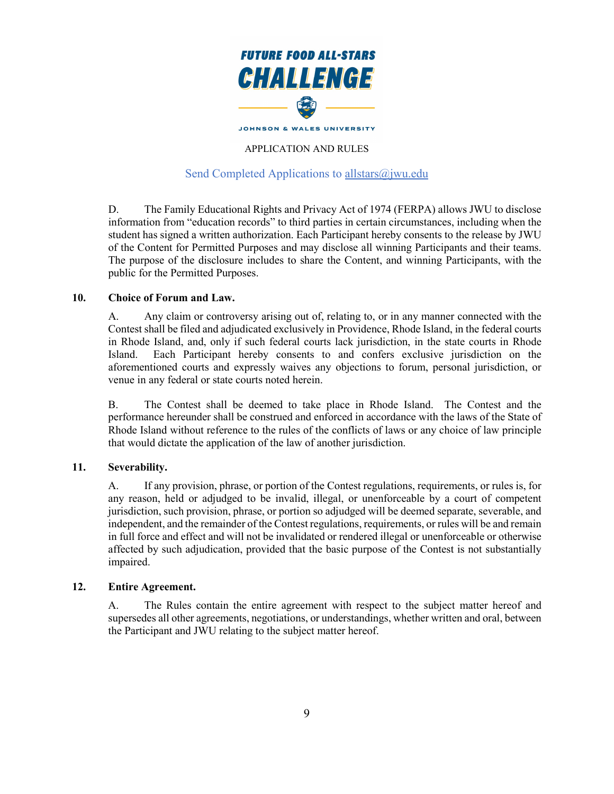

## Send Completed Applications to allstars $(\hat{\omega})$  wu.edu

D. The Family Educational Rights and Privacy Act of 1974 (FERPA) allows JWU to disclose information from "education records" to third parties in certain circumstances, including when the student has signed a written authorization. Each Participant hereby consents to the release by JWU of the Content for Permitted Purposes and may disclose all winning Participants and their teams. The purpose of the disclosure includes to share the Content, and winning Participants, with the public for the Permitted Purposes.

#### **10. Choice of Forum and Law.**

A. Any claim or controversy arising out of, relating to, or in any manner connected with the Contest shall be filed and adjudicated exclusively in Providence, Rhode Island, in the federal courts in Rhode Island, and, only if such federal courts lack jurisdiction, in the state courts in Rhode Island. Each Participant hereby consents to and confers exclusive jurisdiction on the aforementioned courts and expressly waives any objections to forum, personal jurisdiction, or venue in any federal or state courts noted herein.

B. The Contest shall be deemed to take place in Rhode Island. The Contest and the performance hereunder shall be construed and enforced in accordance with the laws of the State of Rhode Island without reference to the rules of the conflicts of laws or any choice of law principle that would dictate the application of the law of another jurisdiction.

### **11. Severability.**

A. If any provision, phrase, or portion of the Contest regulations, requirements, or rules is, for any reason, held or adjudged to be invalid, illegal, or unenforceable by a court of competent jurisdiction, such provision, phrase, or portion so adjudged will be deemed separate, severable, and independent, and the remainder of the Contest regulations, requirements, or rules will be and remain in full force and effect and will not be invalidated or rendered illegal or unenforceable or otherwise affected by such adjudication, provided that the basic purpose of the Contest is not substantially impaired.

### **12. Entire Agreement.**

A. The Rules contain the entire agreement with respect to the subject matter hereof and supersedes all other agreements, negotiations, or understandings, whether written and oral, between the Participant and JWU relating to the subject matter hereof.